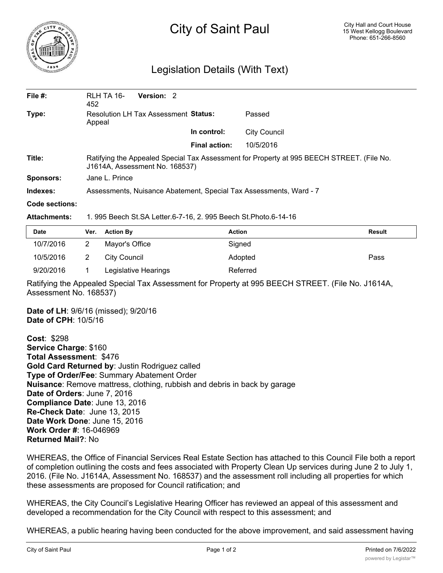

## City of Saint Paul

## Legislation Details (With Text)

| File $#$ :       | RLH TA 16-<br>452                                                                                                           | Version: 2                           |               |                     |  |  |
|------------------|-----------------------------------------------------------------------------------------------------------------------------|--------------------------------------|---------------|---------------------|--|--|
| Type:            | Appeal                                                                                                                      | Resolution LH Tax Assessment Status: |               | Passed              |  |  |
|                  |                                                                                                                             |                                      | In control:   | <b>City Council</b> |  |  |
|                  |                                                                                                                             |                                      | Final action: | 10/5/2016           |  |  |
| Title:           | Ratifying the Appealed Special Tax Assessment for Property at 995 BEECH STREET. (File No.<br>J1614A, Assessment No. 168537) |                                      |               |                     |  |  |
| <b>Sponsors:</b> | Jane L. Prince                                                                                                              |                                      |               |                     |  |  |
| Indexes:         | Assessments, Nuisance Abatement, Special Tax Assessments, Ward - 7                                                          |                                      |               |                     |  |  |
| Code sections:   |                                                                                                                             |                                      |               |                     |  |  |

## **Attachments:** 1. 995 Beech St.SA Letter.6-7-16, 2. 995 Beech St.Photo.6-14-16

| <b>Date</b> | Ver. Action By       | <b>Action</b> | <b>Result</b> |
|-------------|----------------------|---------------|---------------|
| 10/7/2016   | Mayor's Office       | Signed        |               |
| 10/5/2016   | City Council         | Adopted       | Pass          |
| 9/20/2016   | Legislative Hearings | Referred      |               |

Ratifying the Appealed Special Tax Assessment for Property at 995 BEECH STREET. (File No. J1614A, Assessment No. 168537)

**Date of LH**: 9/6/16 (missed); 9/20/16 **Date of CPH**: 10/5/16

**Cost**: \$298 **Service Charge**: \$160 **Total Assessment**: \$476 **Gold Card Returned by**: Justin Rodriguez called **Type of Order/Fee**: Summary Abatement Order **Nuisance**: Remove mattress, clothing, rubbish and debris in back by garage **Date of Orders**: June 7, 2016 **Compliance Date**: June 13, 2016 **Re-Check Date**: June 13, 2015 **Date Work Done**: June 15, 2016 **Work Order #**: 16-046969 **Returned Mail?**: No

WHEREAS, the Office of Financial Services Real Estate Section has attached to this Council File both a report of completion outlining the costs and fees associated with Property Clean Up services during June 2 to July 1, 2016. (File No. J1614A, Assessment No. 168537) and the assessment roll including all properties for which these assessments are proposed for Council ratification; and

WHEREAS, the City Council's Legislative Hearing Officer has reviewed an appeal of this assessment and developed a recommendation for the City Council with respect to this assessment; and

WHEREAS, a public hearing having been conducted for the above improvement, and said assessment having